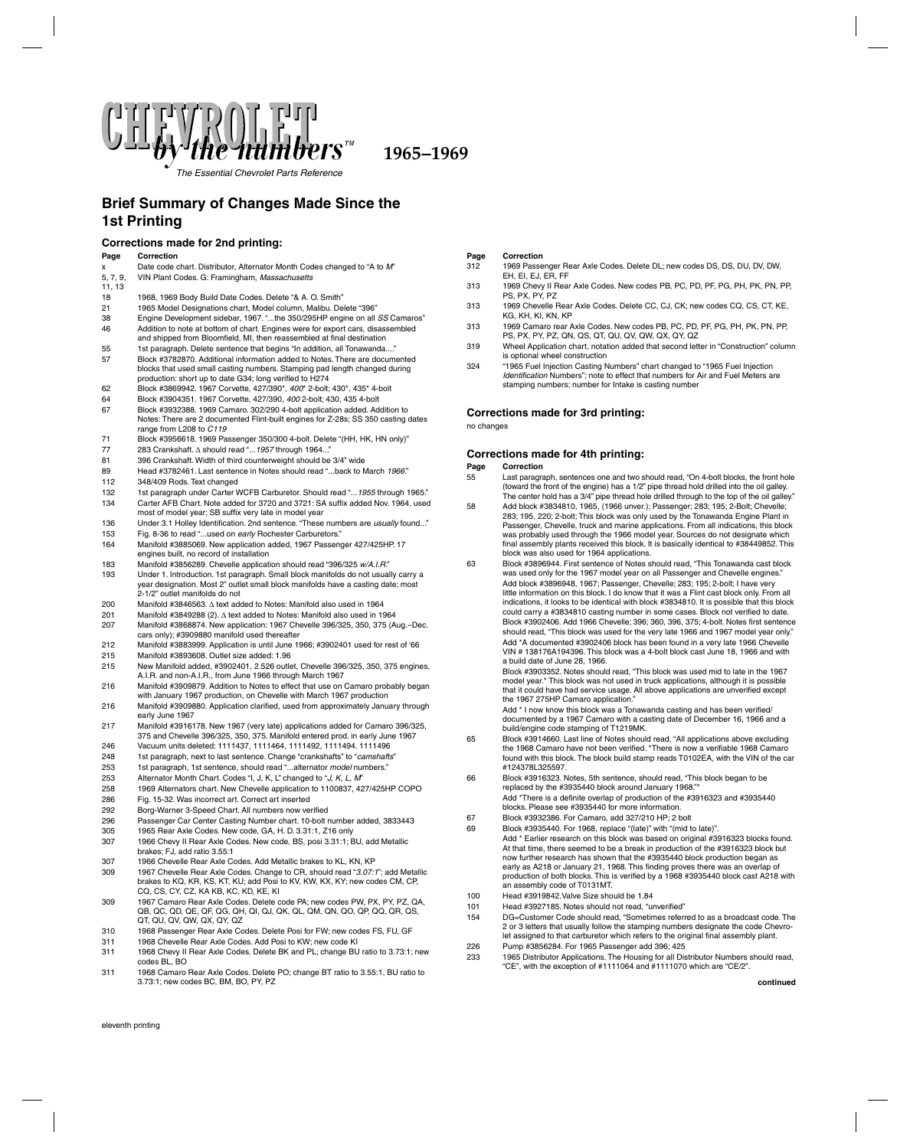

**1965–1969**

*The Essential Chevrolet Parts Reference*

# **Brief Summary of Changes Made Since the 1st Printing**

**Corrections made for 2nd printing: Page Correction** x Date code chart. Distributor, Alternator Month Codes changed to "A to *M*" 5, 7, 9, VIN Plant Codes. G: Framingham, *Massachusetts* 11, 13 18 1968, 1969 Body Build Date Codes. Delete "& A. O. Smith" 21 1965 Model Designations chart, Model column, Malibu. Delete "396" 38 Engine Development sidebar, 1967. "...the 350/295HP engine on all *SS* Camaros" Addition to note at bottom of chart. Engines were for export cars, disassembled and shipped from Bloomfield, MI, then reassembled at final destination<br>55 1st paragraph. Delete sentence that begins "In addition, all Tonawanda...." 57 Block #3782870. Additional information added to Notes. There are documented blocks that used small casting numbers. Stamping pad length changed during<br>production: short up to date G34; long verified to H274 62 Block #3869942. 1967 Corvette, 427/390\*, *400*\* 2-bolt; 430\*, 435\* 4-bolt 64 Block #3904351. 1967 Corvette, 427/390, *400* 2-bolt; 430, 435 4-bolt 67 Block #3932388. 1969 Camaro. 302/290 4-bolt application added. Addition to Notes: There are 2 documented Flint-built engines for Z-28s; SS 350 casting dates range from L208 to *C119* 71 Block #3956618. 1969 Passenger 350/300 4-bolt. Delete "(HH, HK, HN only)" 77 283 Crankshaft. Δ should read "...*1957* through 1964..." 81 396 Crankshaft. Width of third counterweight should be 3/4" wide 89 Head #3782461. Last sentence in Notes should read "...back to March *1966*." 112 348/409 Rods. Text changed 132 1st paragraph under Carter WCFB Carburetor. Should read "...*1955* through 1965." 134 Carter AFB Chart. Note added for 3720 and 3721: SA suffix added Nov. 1964, used most of model year; SB suffix very late in model year 136 Under 3.1 Holley Identification. 2nd sentence. "These numbers are *usually* found..." 153 Fig. 8-36 to read "...used on *early* Rochester Carburetors." 164 Manifold #3885069. New application added, 1967 Passenger 427/425HP. 17 engines built, no record of installation 183 Manifold #3856289. Chevelle application should read "396/325 *w/A.I.R*." 193 Under 1. Introduction. 1st paragraph. Small block manifolds do not usually carry a year designation. Most 2" outlet small block manifolds have a casting date; most 2-1/2" outlet manifolds do not 200 Manifold #3846563. Δ text added to Notes: Manifold also used in 1964 201 Manifold #3849288 (2). Δ text added to Notes: Manifold also used in 1964 207 Manifold #3868874. New application: 1967 Chevelle 396/325, 350, 375 (Aug.–Dec. cars only); #3909880 manifold used thereafter 212 Manifold #3883999. Application is until June 1966; #3902401 used for rest of '66 215 Manifold #3893608. Outlet size added: 1.96 215 New Manifold added, #3902401, 2.526 outlet, Chevelle 396/325, 350, 375 engines, A.I.R. and non-A.I.R., from June 1966 through March 1967 216 Manifold #3909879. Addition to Notes to effect that use on Camaro probably began with January 1967 production, on Chevelle with March 1967 production 216 Manifold #3909880. Application clarified, used from approximately January through early June 1967

- 217 Manifold #3916178. New 1967 (very late) applications added for Camaro 396/325, 375 and Chevelle 396/325, 350, 375. Manifold entered prod. in early June 1967
- 246 Vacuum units deleted: 1111437, 1111464, 1111492, 1111494. 1111496<br>248 Ist naragraph next to last sentence Change "crankshafts" to "camshaft
- 248 1st paragraph, next to last sentence. Change "crankshafts" to "*camshafts*"
- 253 1st paragraph, 1st sentence, should read "...alternator *model* numbers."
- 253 Alternator Month Chart. Codes "I, J, K, L" changed to "*J, K, L, M*"
- 258 1969 Alternators chart. New Chevelle application to 1100837, 427/425HP COPO Fig. 15-32. Was incorrect art. Correct art inserted
- 292 Borg-Warner 3-Speed Chart. All numbers now verified
- 
- 296 Passenger Car Center Casting Number chart. 10-bolt number added, 3833443<br>305 1965 Rear Axle Codes. New code. GA. H. D. 3.31:1. Z16 only 305 1965 Rear Axle Codes. New code, GA, H. D. 3.31:1, Z16 only
- 307 1966 Chevy II Rear Axle Codes. New code, BS, posi 3.31:1; BU, add Metallic brakes; FJ, add ratio 3.55:1
- 
- 307 1966 Chevelle Rear Axle Codes. Add Metallic brakes to KL, KN, KP<br>309 1967 Chevelle Rear Axle Codes. Change to CR, should read "3.07: 309 1967 Chevelle Rear Axle Codes. Change to CR, should read "*3.07:1*"; add Metallic brakes to KQ, KR, KS, KT, KU; add Posi to KV, KW, KX, KY; new codes CM, CP, CQ, CS, CY, CZ, KA KB, KC, KD, KE, KI
- 309 1967 Camaro Rear Axle Codes. Delete code PA; new codes PW, PX, PY, PZ, QA, QB, QC, QD, QE, QF, QG, QH, QI, QJ, QK, QL, QM, QN, QO, QP, QQ, QR, QS, QT, QU, QV, QW, QX, QY, QZ
- 310 1968 Passenger Rear Axle Codes. Delete Posi for FW; new codes FS, FU, GF
- 311 1968 Chevelle Rear Axle Codes. Add Posi to KW; new code KI<br>311 1968 Chevy II Rear Axle Codes. Delete BK and PL: change BU
- 1968 Chevy II Rear Axle Codes. Delete BK and PL; change BU ratio to 3.73:1; new codes BL, BO
- 311 1968 Camaro Rear Axle Codes. Delete PO; change BT ratio to 3.55:1, BU ratio to 3.73:1; new codes BC, BM, BO, PY, PZ

## **Page Correction**

- 312 1969 Passenger Rear Axle Codes. Delete DL; new codes DS, DS, DU, DV, DW, EH, EI, EJ, ER, FF
- 313 1969 Chevy II Rear Axle Codes. New codes PB, PC, PD, PF, PG, PH, PK, PN, PP, PS, PX, PY, PZ
- 313 1969 Chevelle Rear Axle Codes. Delete CC, CJ, CK; new codes CQ, CS, CT, KE, KG, KH, KI, KN, KP
- 313 1969 Camaro rear Axle Codes. New codes PB, PC, PD, PF, PG, PH, PK, PN, PP, PS, PX, PY, PZ, QN, QS, QT, QU, QV, QW, QX, QY, QZ
- 319 Wheel Application chart, notation added that second letter in "Construction" column is optional wheel construction
- 324 "1965 Fuel Injection Casting Numbers" chart changed to "1965 Fuel Injection *Identifi cation* Numbers"; note to effect that numbers for Air and Fuel Meters are stamping numbers; number for Intake is casting number

## **Corrections made for 3rd printing:** no changes

### **Corrections made for 4th printing:**

**Page Correction**

- 55 Last paragraph, sentences one and two should read, "On 4-bolt blocks, the front hole (toward the front of the engine) has a 1/2" pipe thread hold drilled into the oil galley.
- The center hold has a 3/4" pipe thread hole drilled through to the top of the oil galley."<br>58 Add block #3834810, 1965, (1966 unver.); Passenger; 283; 195; 2-Bolt; Chevelle; 283; 195, 220; 2-bolt; This block was only used by the Tonawanda Engine Plant in<br>Passenger, Chevelle, truck and marine applications. From all indications, this block<br>was probably used through the 1966 model year. Sources d final assembly plants received this block. It is basically identical to #38449852. This block was also used for 1964 applications.
- 63 Block #3896944. First sentence of Notes should read, "This Tonawanda cast block was used only for the 1967 model year on all Passenger and Chevelle engines. Add block #3896948, 1967; Passenger, Chevelle; 283; 195; 2-bolt; I have very<br>little information on this block. I do know that it was a Flint cast block only. From all<br>indications, it looks to be identical with block #38348 could carry a #3834810 casting number in some cases. Block not verified to date. Block #3902406. Add 1966 Chevelle: 396; 360, 396, 375; 4-bolt. Notes first sentence should read, "This block was used for the very late 1966 and 1967 model year only." Add \*A documented #3902406 block has been found in a very late 1966 Chevelle VIN # 138176A194396. This block was a 4-bolt block cast June 18, 1966 and with a build date of June 28, 1966.

Block #3903352. Notes should read, "This block was used mid to late in the 1967 model year.\* This block was not used in truck applications, although it is possible that it could have had service usage. All above applications are unverifi ed except the 1967 275HP Camaro application."

Add \* I now know this block was a Tonawanda casting and has been verified/ documented by a 1967 Camaro with a casting date of December 16, 1966 and a build/engine code stamping of T1219MK.

- 65 Block #3914660. Last line of Notes should read, "All applications above excluding the 1968 Camaro have not been verified. \*There is now a verifiable 1968 Camaro<br>found with this block. The block build stamp reads T0102EA, with the VIN of the car #124378L325597.
- 66 Block #3916323. Notes, 5th sentence, should read, "This block began to be replaced by the #3935440 block around January 1968." Add \*There is a definite overlap of production of the #3916323 and #3935440 blocks. Please see #3935440 for more information.
- 67 Block #3932386. For Camaro, add 327/210 HP; 2 bolt
- 69 Block #3935440. For 1968, replace "(late)" with "(mid to late)". Add \* Earlier research on this block was based on original #3916323 blocks found. At that time, there seemed to be a break in production of the #3916323 block but now further research has shown that the #3935440 block production began as early as A218 or January 21, 1968. This finding proves there was an overlap of<br>production of both blocks. This is verified by a 1968 #3935440 block cast A218 with<br>an assembly code of T0131MT.
- 100 Head #3919842.Valve Size should be 1.84
- 101 Head #3927185. Notes should not read, "unverified"<br>154 DG-Customer Code should read "Sometimes refer
- DG=Customer Code should read, "Sometimes referred to as a broadcast code. The 2 or 3 letters that usually follow the stamping numbers designate the code Chevrolet assigned to that carburetor which refers to the original final assembly plant.
- 226 Pump #3856284. For 1965 Passenger add 396; 425<br>233 1965 Distributor Applications. The Housing for all Dis
- 1965 Distributor Applications. The Housing for all Distributor Numbers should read, "CE", with the exception of #1111064 and #1111070 which are "CE/2".

**continued**

eleventh printing